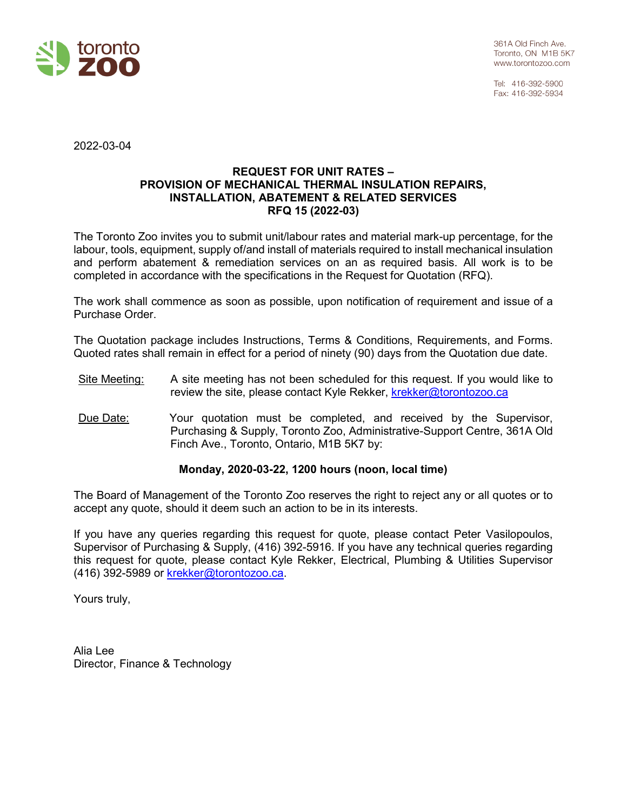

Tel: 416-392-5900 Fax: 416-392-5934

2022-03-04

#### **REQUEST FOR UNIT RATES – PROVISION OF MECHANICAL THERMAL INSULATION REPAIRS, INSTALLATION, ABATEMENT & RELATED SERVICES RFQ 15 (2022-03)**

The Toronto Zoo invites you to submit unit/labour rates and material mark-up percentage, for the labour, tools, equipment, supply of/and install of materials required to install mechanical insulation and perform abatement & remediation services on an as required basis. All work is to be completed in accordance with the specifications in the Request for Quotation (RFQ).

The work shall commence as soon as possible, upon notification of requirement and issue of a Purchase Order.

The Quotation package includes Instructions, Terms & Conditions, Requirements, and Forms. Quoted rates shall remain in effect for a period of ninety (90) days from the Quotation due date.

- Site Meeting: A site meeting has not been scheduled for this request. If you would like to review the site, please contact Kyle Rekker, [krekker@torontozoo.ca](mailto:krekker@torontozoo.ca)
- Due Date: Your quotation must be completed, and received by the Supervisor, Purchasing & Supply, Toronto Zoo, Administrative-Support Centre, 361A Old Finch Ave., Toronto, Ontario, M1B 5K7 by:

## **Monday, 2020-03-22, 1200 hours (noon, local time)**

The Board of Management of the Toronto Zoo reserves the right to reject any or all quotes or to accept any quote, should it deem such an action to be in its interests.

If you have any queries regarding this request for quote, please contact Peter Vasilopoulos, Supervisor of Purchasing & Supply, (416) 392-5916. If you have any technical queries regarding this request for quote, please contact Kyle Rekker, Electrical, Plumbing & Utilities Supervisor (416) 392-5989 or krekker@torontozoo.ca.

Yours truly,

Alia Lee Director, Finance & Technology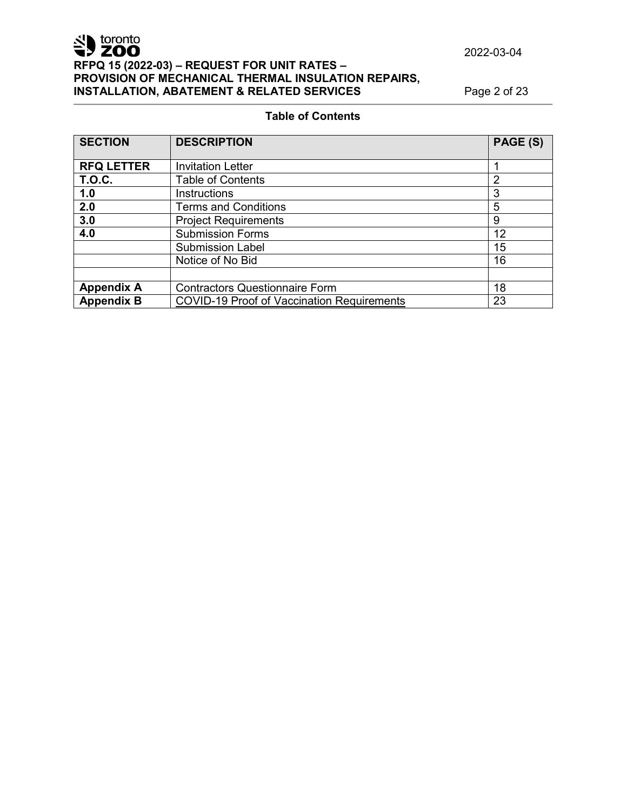## **Table of Contents**

| <b>SECTION</b>    | <b>DESCRIPTION</b>                                | PAGE (S)       |
|-------------------|---------------------------------------------------|----------------|
|                   |                                                   |                |
| <b>RFQ LETTER</b> | <b>Invitation Letter</b>                          |                |
| <b>T.O.C.</b>     | <b>Table of Contents</b>                          | $\overline{2}$ |
| 1.0               | <b>Instructions</b>                               | 3              |
| 2.0               | <b>Terms and Conditions</b>                       | 5              |
| 3.0               | <b>Project Requirements</b>                       | 9              |
| 4.0               | <b>Submission Forms</b>                           | 12             |
|                   | <b>Submission Label</b>                           | 15             |
|                   | Notice of No Bid                                  | 16             |
|                   |                                                   |                |
| <b>Appendix A</b> | <b>Contractors Questionnaire Form</b>             | 18             |
| <b>Appendix B</b> | <b>COVID-19 Proof of Vaccination Requirements</b> | 23             |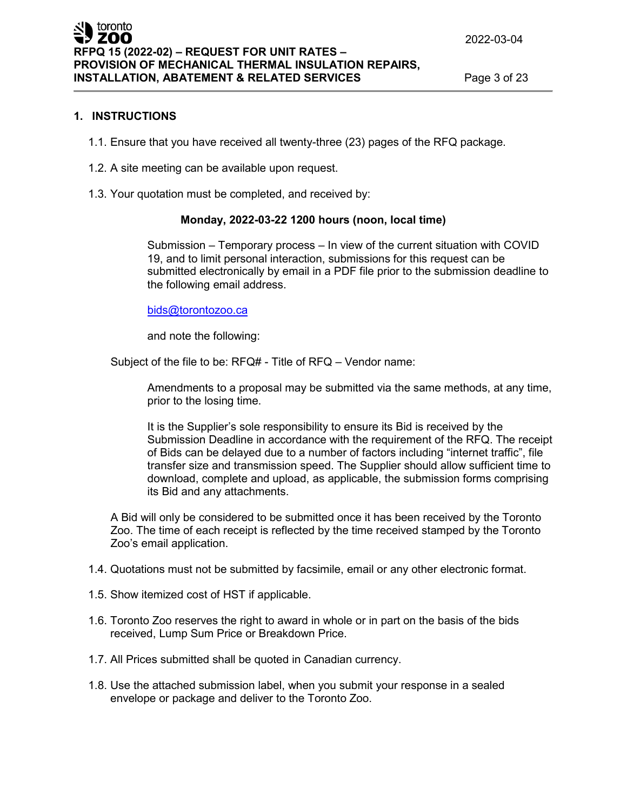#### **1. INSTRUCTIONS**

- 1.1. Ensure that you have received all twenty-three (23) pages of the RFQ package.
- 1.2. A site meeting can be available upon request.
- 1.3. Your quotation must be completed, and received by:

#### **Monday, 2022-03-22 1200 hours (noon, local time)**

Submission – Temporary process – In view of the current situation with COVID 19, and to limit personal interaction, submissions for this request can be submitted electronically by email in a PDF file prior to the submission deadline to the following email address.

#### [bids@torontozoo.ca](mailto:bids@torontozoo.ca)

and note the following:

Subject of the file to be: RFQ# - Title of RFQ – Vendor name:

Amendments to a proposal may be submitted via the same methods, at any time, prior to the losing time.

It is the Supplier's sole responsibility to ensure its Bid is received by the Submission Deadline in accordance with the requirement of the RFQ. The receipt of Bids can be delayed due to a number of factors including "internet traffic", file transfer size and transmission speed. The Supplier should allow sufficient time to download, complete and upload, as applicable, the submission forms comprising its Bid and any attachments.

A Bid will only be considered to be submitted once it has been received by the Toronto Zoo. The time of each receipt is reflected by the time received stamped by the Toronto Zoo's email application.

- 1.4. Quotations must not be submitted by facsimile, email or any other electronic format.
- 1.5. Show itemized cost of HST if applicable.
- 1.6. Toronto Zoo reserves the right to award in whole or in part on the basis of the bids received, Lump Sum Price or Breakdown Price.
- 1.7. All Prices submitted shall be quoted in Canadian currency.
- 1.8. Use the attached submission label, when you submit your response in a sealed envelope or package and deliver to the Toronto Zoo.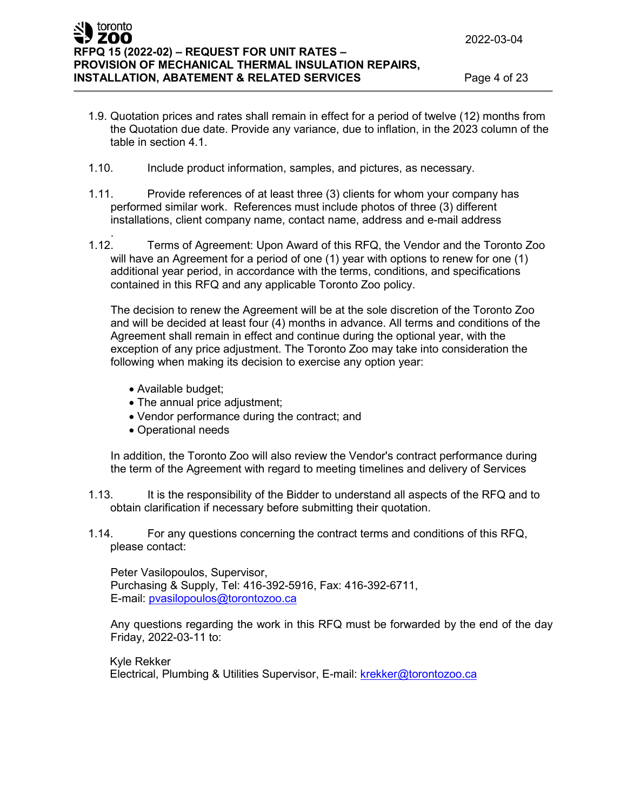- 1.9. Quotation prices and rates shall remain in effect for a period of twelve (12) months from the Quotation due date. Provide any variance, due to inflation, in the 2023 column of the table in section 4.1.
- 1.10. Include product information, samples, and pictures, as necessary.
- 1.11. Provide references of at least three (3) clients for whom your company has performed similar work. References must include photos of three (3) different installations, client company name, contact name, address and e-mail address
- . 1.12. Terms of Agreement: Upon Award of this RFQ, the Vendor and the Toronto Zoo will have an Agreement for a period of one (1) year with options to renew for one (1) additional year period, in accordance with the terms, conditions, and specifications contained in this RFQ and any applicable Toronto Zoo policy.

The decision to renew the Agreement will be at the sole discretion of the Toronto Zoo and will be decided at least four (4) months in advance. All terms and conditions of the Agreement shall remain in effect and continue during the optional year, with the exception of any price adjustment. The Toronto Zoo may take into consideration the following when making its decision to exercise any option year:

- Available budget;
- The annual price adjustment;
- Vendor performance during the contract; and
- Operational needs

In addition, the Toronto Zoo will also review the Vendor's contract performance during the term of the Agreement with regard to meeting timelines and delivery of Services

- 1.13. It is the responsibility of the Bidder to understand all aspects of the RFQ and to obtain clarification if necessary before submitting their quotation.
- 1.14. For any questions concerning the contract terms and conditions of this RFQ, please contact:

Peter Vasilopoulos, Supervisor, Purchasing & Supply, Tel: 416-392-5916, Fax: 416-392-6711, E-mail: [pvasilopoulos@torontozoo.ca](mailto:pvasilopoulos@torontozoo.ca)

Any questions regarding the work in this RFQ must be forwarded by the end of the day Friday, 2022-03-11 to:

Kyle Rekker Electrical, Plumbing & Utilities Supervisor, E-mail: krekker@torontozoo.ca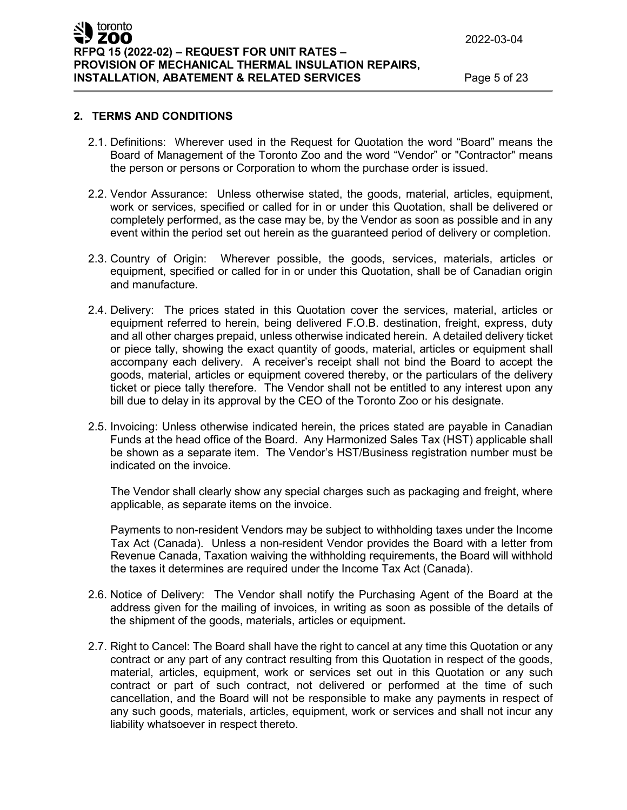#### **2. TERMS AND CONDITIONS**

- 2.1. Definitions: Wherever used in the Request for Quotation the word "Board" means the Board of Management of the Toronto Zoo and the word "Vendor" or "Contractor" means the person or persons or Corporation to whom the purchase order is issued.
- 2.2. Vendor Assurance: Unless otherwise stated, the goods, material, articles, equipment, work or services, specified or called for in or under this Quotation, shall be delivered or completely performed, as the case may be, by the Vendor as soon as possible and in any event within the period set out herein as the guaranteed period of delivery or completion.
- 2.3. Country of Origin: Wherever possible, the goods, services, materials, articles or equipment, specified or called for in or under this Quotation, shall be of Canadian origin and manufacture.
- 2.4. Delivery: The prices stated in this Quotation cover the services, material, articles or equipment referred to herein, being delivered F.O.B. destination, freight, express, duty and all other charges prepaid, unless otherwise indicated herein. A detailed delivery ticket or piece tally, showing the exact quantity of goods, material, articles or equipment shall accompany each delivery. A receiver's receipt shall not bind the Board to accept the goods, material, articles or equipment covered thereby, or the particulars of the delivery ticket or piece tally therefore. The Vendor shall not be entitled to any interest upon any bill due to delay in its approval by the CEO of the Toronto Zoo or his designate.
- 2.5. Invoicing: Unless otherwise indicated herein, the prices stated are payable in Canadian Funds at the head office of the Board. Any Harmonized Sales Tax (HST) applicable shall be shown as a separate item. The Vendor's HST/Business registration number must be indicated on the invoice.

The Vendor shall clearly show any special charges such as packaging and freight, where applicable, as separate items on the invoice.

Payments to non-resident Vendors may be subject to withholding taxes under the Income Tax Act (Canada). Unless a non-resident Vendor provides the Board with a letter from Revenue Canada, Taxation waiving the withholding requirements, the Board will withhold the taxes it determines are required under the Income Tax Act (Canada).

- 2.6. Notice of Delivery: The Vendor shall notify the Purchasing Agent of the Board at the address given for the mailing of invoices, in writing as soon as possible of the details of the shipment of the goods, materials, articles or equipment**.**
- 2.7. Right to Cancel: The Board shall have the right to cancel at any time this Quotation or any contract or any part of any contract resulting from this Quotation in respect of the goods, material, articles, equipment, work or services set out in this Quotation or any such contract or part of such contract, not delivered or performed at the time of such cancellation, and the Board will not be responsible to make any payments in respect of any such goods, materials, articles, equipment, work or services and shall not incur any liability whatsoever in respect thereto.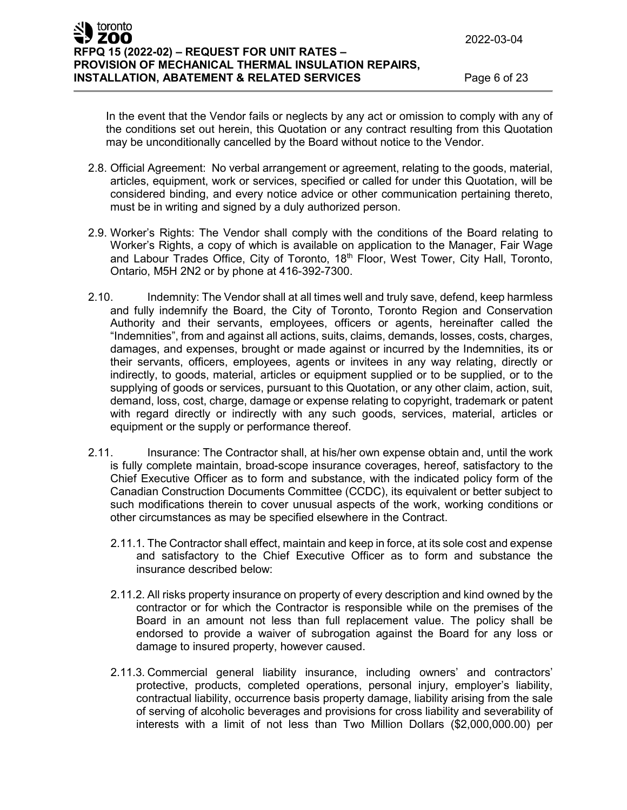In the event that the Vendor fails or neglects by any act or omission to comply with any of the conditions set out herein, this Quotation or any contract resulting from this Quotation may be unconditionally cancelled by the Board without notice to the Vendor.

- 2.8. Official Agreement: No verbal arrangement or agreement, relating to the goods, material, articles, equipment, work or services, specified or called for under this Quotation, will be considered binding, and every notice advice or other communication pertaining thereto, must be in writing and signed by a duly authorized person.
- 2.9. Worker's Rights: The Vendor shall comply with the conditions of the Board relating to Worker's Rights, a copy of which is available on application to the Manager, Fair Wage and Labour Trades Office, City of Toronto, 18<sup>th</sup> Floor, West Tower, City Hall, Toronto, Ontario, M5H 2N2 or by phone at 416-392-7300.
- 2.10. Indemnity: The Vendor shall at all times well and truly save, defend, keep harmless and fully indemnify the Board, the City of Toronto, Toronto Region and Conservation Authority and their servants, employees, officers or agents, hereinafter called the "Indemnities", from and against all actions, suits, claims, demands, losses, costs, charges, damages, and expenses, brought or made against or incurred by the Indemnities, its or their servants, officers, employees, agents or invitees in any way relating, directly or indirectly, to goods, material, articles or equipment supplied or to be supplied, or to the supplying of goods or services, pursuant to this Quotation, or any other claim, action, suit, demand, loss, cost, charge, damage or expense relating to copyright, trademark or patent with regard directly or indirectly with any such goods, services, material, articles or equipment or the supply or performance thereof.
- 2.11. Insurance: The Contractor shall, at his/her own expense obtain and, until the work is fully complete maintain, broad-scope insurance coverages, hereof, satisfactory to the Chief Executive Officer as to form and substance, with the indicated policy form of the Canadian Construction Documents Committee (CCDC), its equivalent or better subject to such modifications therein to cover unusual aspects of the work, working conditions or other circumstances as may be specified elsewhere in the Contract.
	- 2.11.1. The Contractor shall effect, maintain and keep in force, at its sole cost and expense and satisfactory to the Chief Executive Officer as to form and substance the insurance described below:
	- 2.11.2. All risks property insurance on property of every description and kind owned by the contractor or for which the Contractor is responsible while on the premises of the Board in an amount not less than full replacement value. The policy shall be endorsed to provide a waiver of subrogation against the Board for any loss or damage to insured property, however caused.
	- 2.11.3. Commercial general liability insurance, including owners' and contractors' protective, products, completed operations, personal injury, employer's liability, contractual liability, occurrence basis property damage, liability arising from the sale of serving of alcoholic beverages and provisions for cross liability and severability of interests with a limit of not less than Two Million Dollars (\$2,000,000.00) per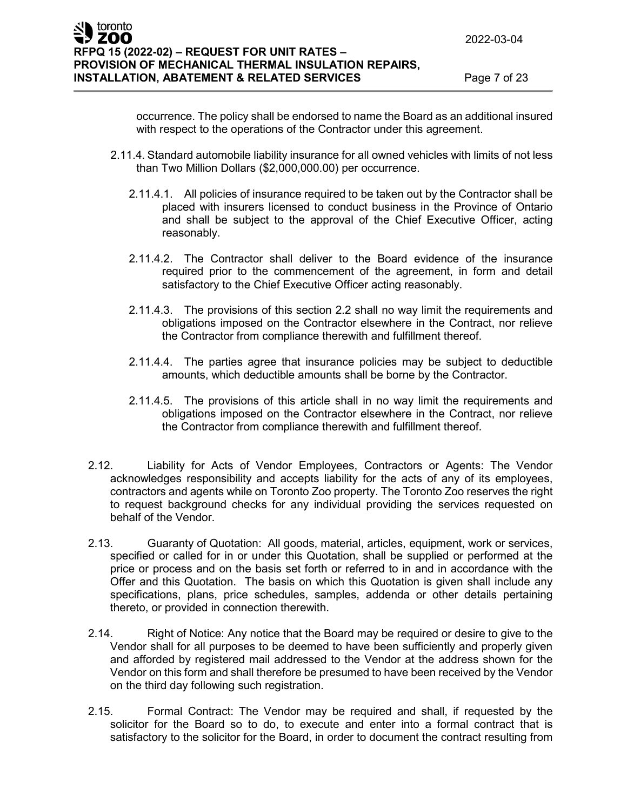occurrence. The policy shall be endorsed to name the Board as an additional insured with respect to the operations of the Contractor under this agreement.

- 2.11.4. Standard automobile liability insurance for all owned vehicles with limits of not less than Two Million Dollars (\$2,000,000.00) per occurrence.
	- 2.11.4.1. All policies of insurance required to be taken out by the Contractor shall be placed with insurers licensed to conduct business in the Province of Ontario and shall be subject to the approval of the Chief Executive Officer, acting reasonably.
	- 2.11.4.2. The Contractor shall deliver to the Board evidence of the insurance required prior to the commencement of the agreement, in form and detail satisfactory to the Chief Executive Officer acting reasonably.
	- 2.11.4.3. The provisions of this section 2.2 shall no way limit the requirements and obligations imposed on the Contractor elsewhere in the Contract, nor relieve the Contractor from compliance therewith and fulfillment thereof.
	- 2.11.4.4. The parties agree that insurance policies may be subject to deductible amounts, which deductible amounts shall be borne by the Contractor.
	- 2.11.4.5. The provisions of this article shall in no way limit the requirements and obligations imposed on the Contractor elsewhere in the Contract, nor relieve the Contractor from compliance therewith and fulfillment thereof.
- 2.12. Liability for Acts of Vendor Employees, Contractors or Agents: The Vendor acknowledges responsibility and accepts liability for the acts of any of its employees, contractors and agents while on Toronto Zoo property. The Toronto Zoo reserves the right to request background checks for any individual providing the services requested on behalf of the Vendor.
- 2.13. Guaranty of Quotation: All goods, material, articles, equipment, work or services, specified or called for in or under this Quotation, shall be supplied or performed at the price or process and on the basis set forth or referred to in and in accordance with the Offer and this Quotation. The basis on which this Quotation is given shall include any specifications, plans, price schedules, samples, addenda or other details pertaining thereto, or provided in connection therewith.
- 2.14. Right of Notice: Any notice that the Board may be required or desire to give to the Vendor shall for all purposes to be deemed to have been sufficiently and properly given and afforded by registered mail addressed to the Vendor at the address shown for the Vendor on this form and shall therefore be presumed to have been received by the Vendor on the third day following such registration.
- 2.15. Formal Contract: The Vendor may be required and shall, if requested by the solicitor for the Board so to do, to execute and enter into a formal contract that is satisfactory to the solicitor for the Board, in order to document the contract resulting from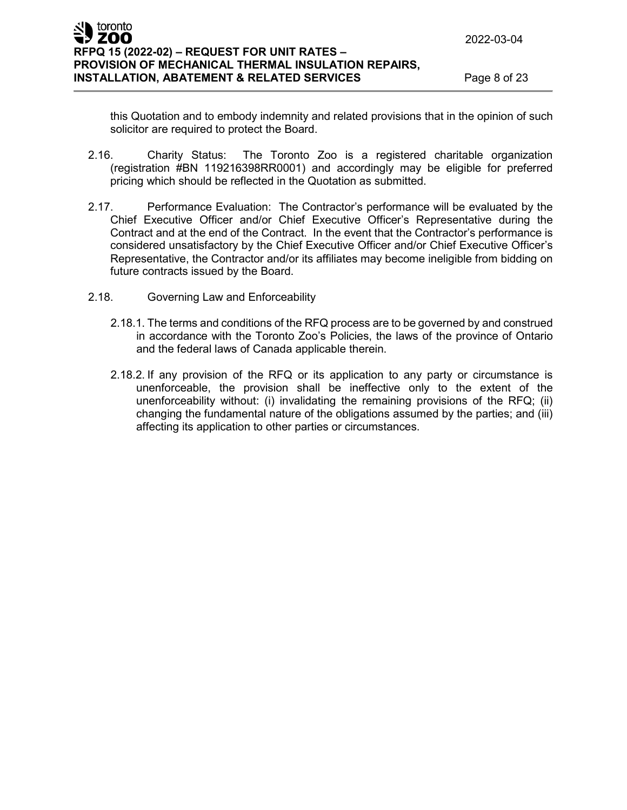this Quotation and to embody indemnity and related provisions that in the opinion of such solicitor are required to protect the Board.

- 2.16. Charity Status: The Toronto Zoo is a registered charitable organization (registration #BN 119216398RR0001) and accordingly may be eligible for preferred pricing which should be reflected in the Quotation as submitted.
- 2.17. Performance Evaluation: The Contractor's performance will be evaluated by the Chief Executive Officer and/or Chief Executive Officer's Representative during the Contract and at the end of the Contract. In the event that the Contractor's performance is considered unsatisfactory by the Chief Executive Officer and/or Chief Executive Officer's Representative, the Contractor and/or its affiliates may become ineligible from bidding on future contracts issued by the Board.
- 2.18. Governing Law and Enforceability
	- 2.18.1. The terms and conditions of the RFQ process are to be governed by and construed in accordance with the Toronto Zoo's Policies, the laws of the province of Ontario and the federal laws of Canada applicable therein.
	- 2.18.2. If any provision of the RFQ or its application to any party or circumstance is unenforceable, the provision shall be ineffective only to the extent of the unenforceability without: (i) invalidating the remaining provisions of the RFQ; (ii) changing the fundamental nature of the obligations assumed by the parties; and (iii) affecting its application to other parties or circumstances.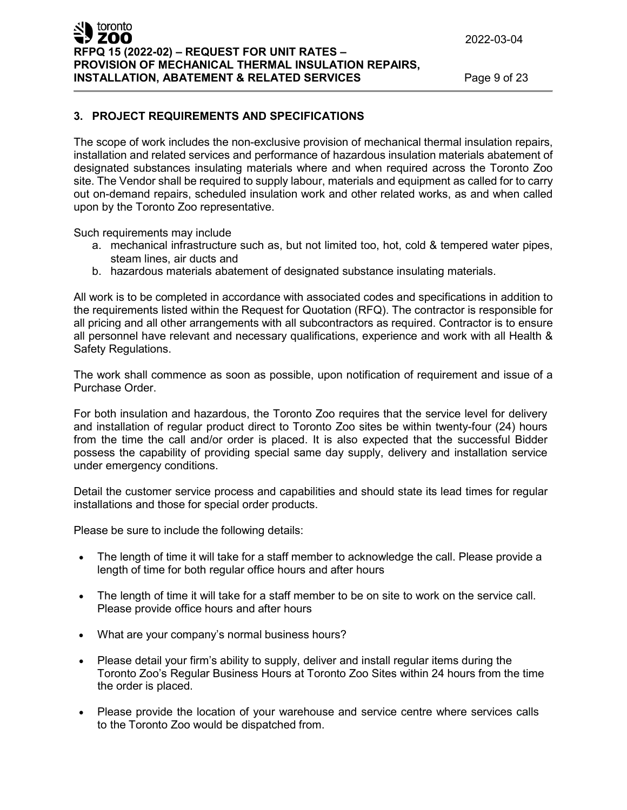## **3. PROJECT REQUIREMENTS AND SPECIFICATIONS**

The scope of work includes the non-exclusive provision of mechanical thermal insulation repairs, installation and related services and performance of hazardous insulation materials abatement of designated substances insulating materials where and when required across the Toronto Zoo site. The Vendor shall be required to supply labour, materials and equipment as called for to carry out on-demand repairs, scheduled insulation work and other related works, as and when called upon by the Toronto Zoo representative.

Such requirements may include

- a. mechanical infrastructure such as, but not limited too, hot, cold & tempered water pipes, steam lines, air ducts and
- b. hazardous materials abatement of designated substance insulating materials.

All work is to be completed in accordance with associated codes and specifications in addition to the requirements listed within the Request for Quotation (RFQ). The contractor is responsible for all pricing and all other arrangements with all subcontractors as required. Contractor is to ensure all personnel have relevant and necessary qualifications, experience and work with all Health & Safety Regulations.

The work shall commence as soon as possible, upon notification of requirement and issue of a Purchase Order.

For both insulation and hazardous, the Toronto Zoo requires that the service level for delivery and installation of regular product direct to Toronto Zoo sites be within twenty-four (24) hours from the time the call and/or order is placed. It is also expected that the successful Bidder possess the capability of providing special same day supply, delivery and installation service under emergency conditions.

Detail the customer service process and capabilities and should state its lead times for regular installations and those for special order products.

Please be sure to include the following details:

- The length of time it will take for a staff member to acknowledge the call. Please provide a length of time for both regular office hours and after hours
- The length of time it will take for a staff member to be on site to work on the service call. Please provide office hours and after hours
- What are your company's normal business hours?
- Please detail your firm's ability to supply, deliver and install regular items during the Toronto Zoo's Regular Business Hours at Toronto Zoo Sites within 24 hours from the time the order is placed.
- Please provide the location of your warehouse and service centre where services calls to the Toronto Zoo would be dispatched from.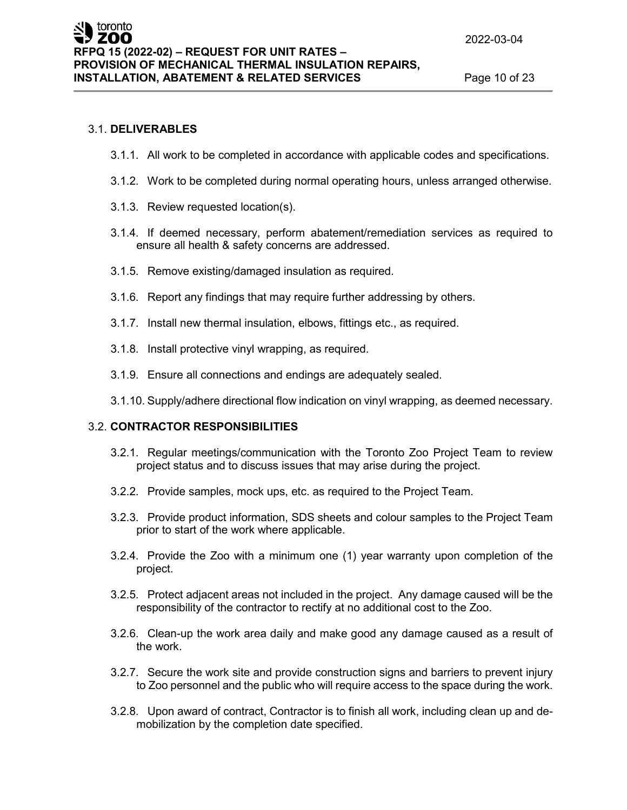## 3.1. **DELIVERABLES**

- 3.1.1. All work to be completed in accordance with applicable codes and specifications.
- 3.1.2. Work to be completed during normal operating hours, unless arranged otherwise.
- 3.1.3. Review requested location(s).
- 3.1.4. If deemed necessary, perform abatement/remediation services as required to ensure all health & safety concerns are addressed.
- 3.1.5. Remove existing/damaged insulation as required.
- 3.1.6. Report any findings that may require further addressing by others.
- 3.1.7. Install new thermal insulation, elbows, fittings etc., as required.
- 3.1.8. Install protective vinyl wrapping, as required.
- 3.1.9. Ensure all connections and endings are adequately sealed.
- 3.1.10. Supply/adhere directional flow indication on vinyl wrapping, as deemed necessary.

#### 3.2. **CONTRACTOR RESPONSIBILITIES**

- 3.2.1. Regular meetings/communication with the Toronto Zoo Project Team to review project status and to discuss issues that may arise during the project.
- 3.2.2. Provide samples, mock ups, etc. as required to the Project Team.
- 3.2.3. Provide product information, SDS sheets and colour samples to the Project Team prior to start of the work where applicable.
- 3.2.4. Provide the Zoo with a minimum one (1) year warranty upon completion of the project.
- 3.2.5. Protect adjacent areas not included in the project. Any damage caused will be the responsibility of the contractor to rectify at no additional cost to the Zoo.
- 3.2.6. Clean-up the work area daily and make good any damage caused as a result of the work.
- 3.2.7. Secure the work site and provide construction signs and barriers to prevent injury to Zoo personnel and the public who will require access to the space during the work.
- 3.2.8. Upon award of contract, Contractor is to finish all work, including clean up and demobilization by the completion date specified.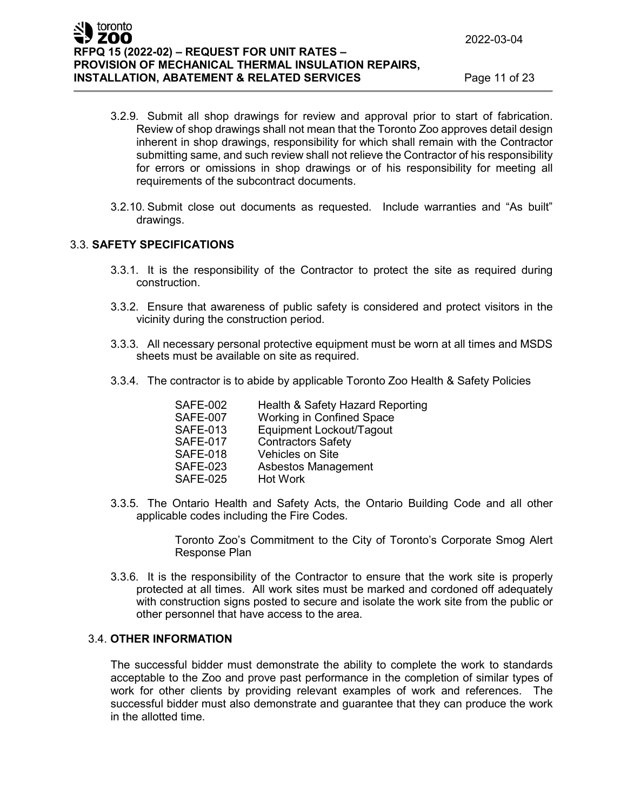- 3.2.9. Submit all shop drawings for review and approval prior to start of fabrication. Review of shop drawings shall not mean that the Toronto Zoo approves detail design inherent in shop drawings, responsibility for which shall remain with the Contractor submitting same, and such review shall not relieve the Contractor of his responsibility for errors or omissions in shop drawings or of his responsibility for meeting all requirements of the subcontract documents.
- 3.2.10. Submit close out documents as requested. Include warranties and "As built" drawings.

## 3.3. **SAFETY SPECIFICATIONS**

- 3.3.1. It is the responsibility of the Contractor to protect the site as required during construction.
- 3.3.2. Ensure that awareness of public safety is considered and protect visitors in the vicinity during the construction period.
- 3.3.3. All necessary personal protective equipment must be worn at all times and MSDS sheets must be available on site as required.
- 3.3.4. The contractor is to abide by applicable Toronto Zoo Health & Safety Policies

| <b>SAFE-002</b> | Health & Safety Hazard Reporting |
|-----------------|----------------------------------|
| <b>SAFE-007</b> | <b>Working in Confined Space</b> |
| <b>SAFE-013</b> | Equipment Lockout/Tagout         |
| <b>SAFE-017</b> | <b>Contractors Safety</b>        |
| <b>SAFE-018</b> | <b>Vehicles on Site</b>          |
| <b>SAFE-023</b> | Asbestos Management              |
| <b>SAFE-025</b> | Hot Work                         |

3.3.5. The Ontario Health and Safety Acts, the Ontario Building Code and all other applicable codes including the Fire Codes.

> Toronto Zoo's Commitment to the City of Toronto's Corporate Smog Alert Response Plan

3.3.6. It is the responsibility of the Contractor to ensure that the work site is properly protected at all times. All work sites must be marked and cordoned off adequately with construction signs posted to secure and isolate the work site from the public or other personnel that have access to the area.

#### 3.4. **OTHER INFORMATION**

The successful bidder must demonstrate the ability to complete the work to standards acceptable to the Zoo and prove past performance in the completion of similar types of work for other clients by providing relevant examples of work and references. The successful bidder must also demonstrate and guarantee that they can produce the work in the allotted time.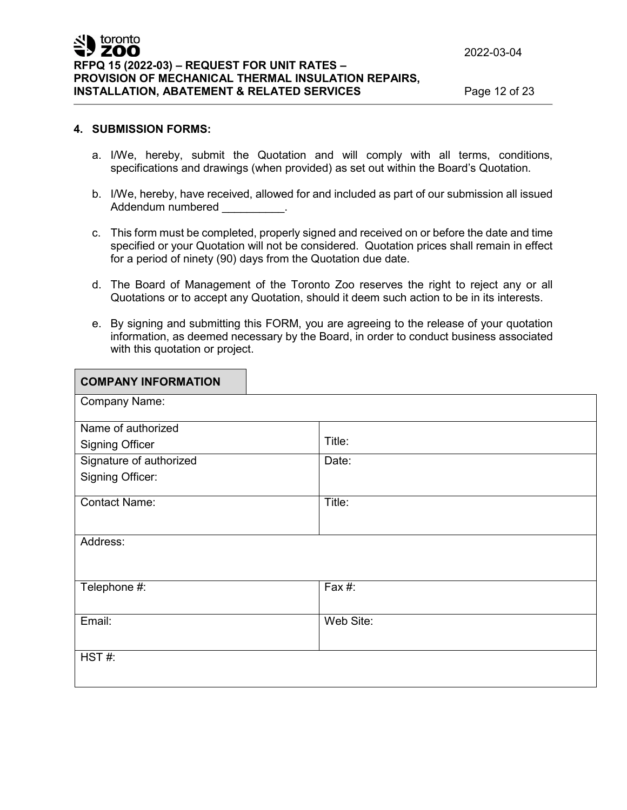<u> 1999 - Johann Barnett, fransk politik (</u>

#### **4. SUBMISSION FORMS:**

- a. I/We, hereby, submit the Quotation and will comply with all terms, conditions, specifications and drawings (when provided) as set out within the Board's Quotation.
- b. I/We, hereby, have received, allowed for and included as part of our submission all issued Addendum numbered
- c. This form must be completed, properly signed and received on or before the date and time specified or your Quotation will not be considered. Quotation prices shall remain in effect for a period of ninety (90) days from the Quotation due date.
- d. The Board of Management of the Toronto Zoo reserves the right to reject any or all Quotations or to accept any Quotation, should it deem such action to be in its interests.
- e. By signing and submitting this FORM, you are agreeing to the release of your quotation information, as deemed necessary by the Board, in order to conduct business associated with this quotation or project.

| <b>COMPANY INFORMATION</b> |           |  |
|----------------------------|-----------|--|
| <b>Company Name:</b>       |           |  |
| Name of authorized         |           |  |
| <b>Signing Officer</b>     | Title:    |  |
| Signature of authorized    | Date:     |  |
| <b>Signing Officer:</b>    |           |  |
| <b>Contact Name:</b>       | Title:    |  |
| Address:                   |           |  |
| Telephone #:               | Fax #:    |  |
| Email:                     | Web Site: |  |
| HST#:                      |           |  |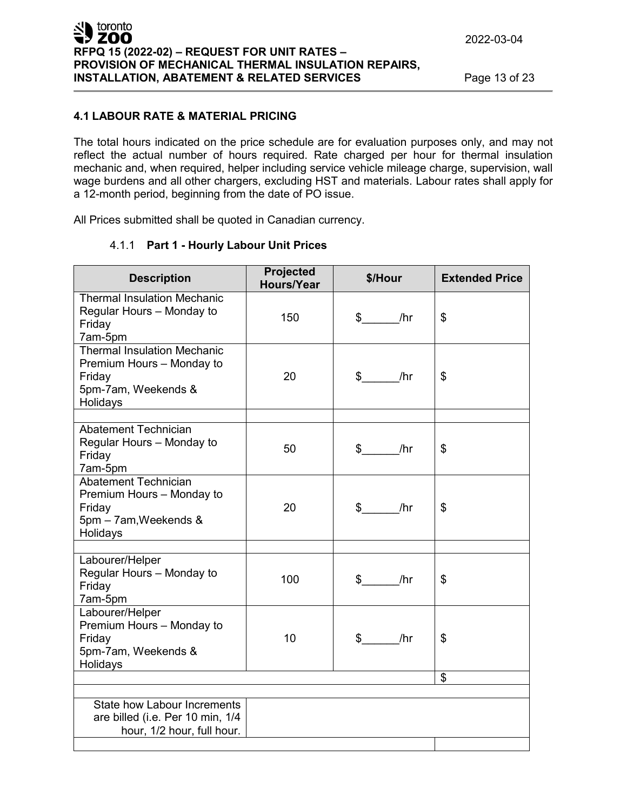## **4.1 LABOUR RATE & MATERIAL PRICING**

The total hours indicated on the price schedule are for evaluation purposes only, and may not reflect the actual number of hours required. Rate charged per hour for thermal insulation mechanic and, when required, helper including service vehicle mileage charge, supervision, wall wage burdens and all other chargers, excluding HST and materials. Labour rates shall apply for a 12-month period, beginning from the date of PO issue.

All Prices submitted shall be quoted in Canadian currency.

| <b>Description</b>                                                                                           | Projected<br>Hours/Year | \$/Hour                 | <b>Extended Price</b> |
|--------------------------------------------------------------------------------------------------------------|-------------------------|-------------------------|-----------------------|
| <b>Thermal Insulation Mechanic</b><br>Regular Hours - Monday to<br>Friday<br>7am-5pm                         | 150                     | $\frac{1}{2}$<br>/ $hr$ | \$                    |
| <b>Thermal Insulation Mechanic</b><br>Premium Hours - Monday to<br>Friday<br>5pm-7am, Weekends &<br>Holidays | 20                      | $$$ /hr                 | \$                    |
| <b>Abatement Technician</b><br>Regular Hours - Monday to<br>Friday<br>7am-5pm                                | 50                      | $\frac{1}{2}$<br>/hr    | \$                    |
| Abatement Technician<br>Premium Hours - Monday to<br>Friday<br>5pm - 7am, Weekends &<br>Holidays             | 20                      | $$$ /hr                 | \$                    |
| Labourer/Helper<br>Regular Hours - Monday to<br>Friday<br>7am-5pm                                            | 100                     | $\frac{1}{2}$ /hr       | \$                    |
| Labourer/Helper<br>Premium Hours - Monday to<br>Friday<br>5pm-7am, Weekends &<br>Holidays                    | 10                      | $\frac{1}{2}$ /hr       | \$                    |
|                                                                                                              |                         |                         | \$                    |
| State how Labour Increments<br>are billed (i.e. Per 10 min, 1/4<br>hour, 1/2 hour, full hour.                |                         |                         |                       |

## 4.1.1 **Part 1 - Hourly Labour Unit Prices**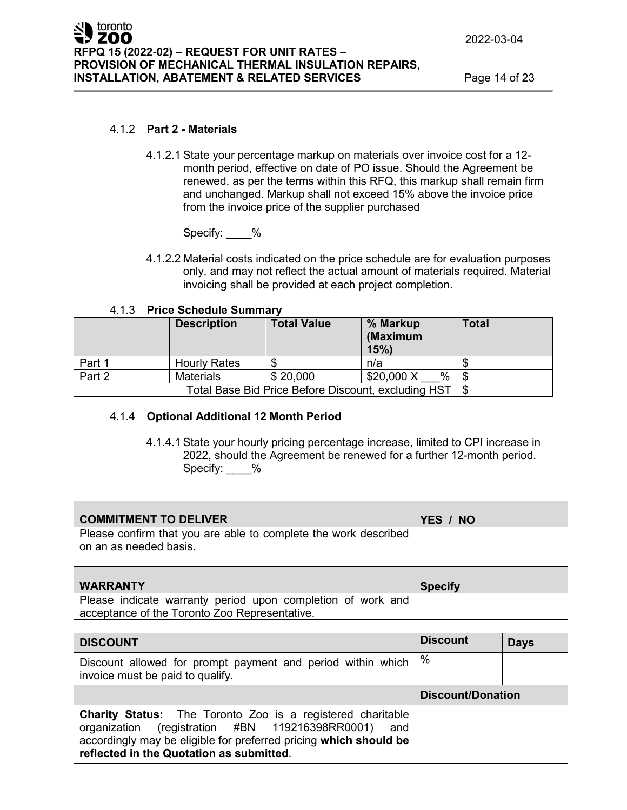#### 4.1.2 **Part 2 - Materials**

4.1.2.1 State your percentage markup on materials over invoice cost for a 12 month period, effective on date of PO issue. Should the Agreement be renewed, as per the terms within this RFQ, this markup shall remain firm and unchanged. Markup shall not exceed 15% above the invoice price from the invoice price of the supplier purchased

Specify: \_\_\_\_ %

4.1.2.2 Material costs indicated on the price schedule are for evaluation purposes only, and may not reflect the actual amount of materials required. Material invoicing shall be provided at each project completion.

|        | <b>Description</b>  | <b>Total Value</b>                                  | % Markup<br>(Maximum<br>15% | <b>Total</b> |
|--------|---------------------|-----------------------------------------------------|-----------------------------|--------------|
| Part 1 | <b>Hourly Rates</b> |                                                     | n/a                         |              |
| Part 2 | Materials           | \$20,000                                            | %<br>\$20,000 X             |              |
|        |                     | Total Base Bid Price Before Discount, excluding HST |                             |              |

## 4.1.4 **Optional Additional 12 Month Period**

4.1.4.1 State your hourly pricing percentage increase, limited to CPI increase in 2022, should the Agreement be renewed for a further 12-month period. Specify: %

| <b>COMMITMENT TO DELIVER</b>                                    | YES / NO |
|-----------------------------------------------------------------|----------|
| Please confirm that you are able to complete the work described |          |
| on an as needed basis.                                          |          |

| <b>WARRANTY</b>                                             | <b>Specify</b> |
|-------------------------------------------------------------|----------------|
| Please indicate warranty period upon completion of work and |                |
| acceptance of the Toronto Zoo Representative.               |                |

| <b>DISCOUNT</b>                                                                                                                                                                                                                           | <b>Discount</b>          | <b>Days</b> |
|-------------------------------------------------------------------------------------------------------------------------------------------------------------------------------------------------------------------------------------------|--------------------------|-------------|
| Discount allowed for prompt payment and period within which<br>invoice must be paid to qualify.                                                                                                                                           | $\%$                     |             |
|                                                                                                                                                                                                                                           | <b>Discount/Donation</b> |             |
| <b>Charity Status:</b> The Toronto Zoo is a registered charitable<br>organization (registration #BN 119216398RR0001) and<br>accordingly may be eligible for preferred pricing which should be<br>reflected in the Quotation as submitted. |                          |             |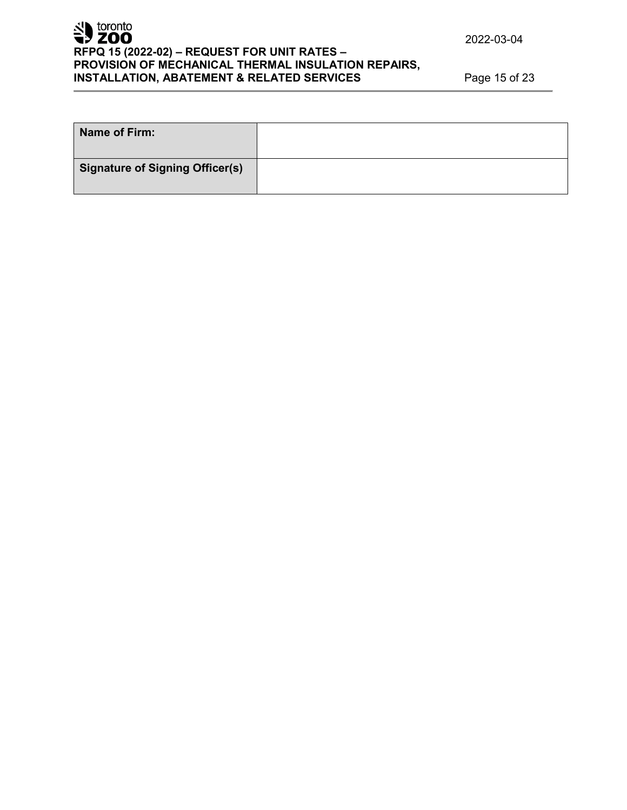

# **RFPQ 15 (2022-02) – REQUEST FOR UNIT RATES – PROVISION OF MECHANICAL THERMAL INSULATION REPAIRS, INSTALLATION, ABATEMENT & RELATED SERVICES** Page 15 of 23

| Name of Firm:                          |  |
|----------------------------------------|--|
| <b>Signature of Signing Officer(s)</b> |  |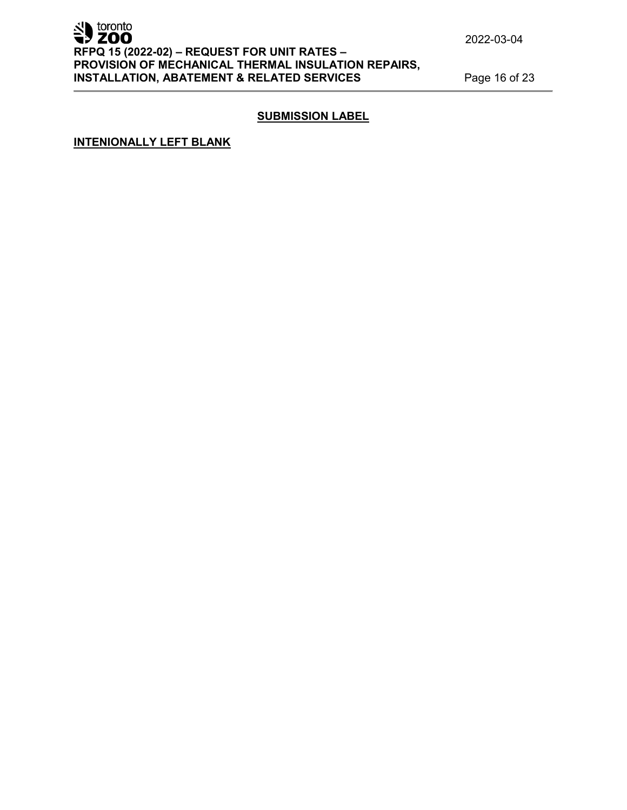# SD toronto **RFPQ 15 (2022-02) – REQUEST FOR UNIT RATES – PROVISION OF MECHANICAL THERMAL INSULATION REPAIRS, INSTALLATION, ABATEMENT & RELATED SERVICES** Page 16 of 23

2022-03-04

# **SUBMISSION LABEL**

**INTENIONALLY LEFT BLANK**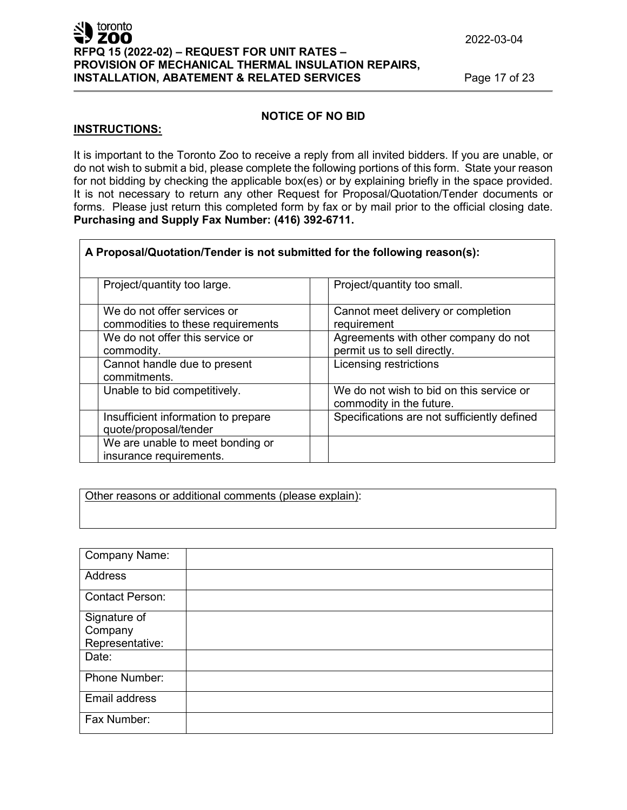## **ZOO RFPQ 15 (2022-02) – REQUEST FOR UNIT RATES – PROVISION OF MECHANICAL THERMAL INSULATION REPAIRS, INSTALLATION, ABATEMENT & RELATED SERVICES** Page 17 of 23

## **NOTICE OF NO BID**

#### **INSTRUCTIONS:**

 $\blacksquare$  toronto

It is important to the Toronto Zoo to receive a reply from all invited bidders. If you are unable, or do not wish to submit a bid, please complete the following portions of this form. State your reason for not bidding by checking the applicable box(es) or by explaining briefly in the space provided. It is not necessary to return any other Request for Proposal/Quotation/Tender documents or forms. Please just return this completed form by fax or by mail prior to the official closing date. **Purchasing and Supply Fax Number: (416) 392-6711.**

| A Proposal/Quotation/Tender is not submitted for the following reason(s): |                                                                      |
|---------------------------------------------------------------------------|----------------------------------------------------------------------|
| Project/quantity too large.                                               | Project/quantity too small.                                          |
| We do not offer services or<br>commodities to these requirements          | Cannot meet delivery or completion<br>requirement                    |
| We do not offer this service or<br>commodity.                             | Agreements with other company do not<br>permit us to sell directly.  |
| Cannot handle due to present<br>commitments.                              | Licensing restrictions                                               |
| Unable to bid competitively.                                              | We do not wish to bid on this service or<br>commodity in the future. |
| Insufficient information to prepare<br>quote/proposal/tender              | Specifications are not sufficiently defined                          |
| We are unable to meet bonding or<br>insurance requirements.               |                                                                      |

Other reasons or additional comments (please explain):

| <b>Company Name:</b>   |  |
|------------------------|--|
| <b>Address</b>         |  |
|                        |  |
| <b>Contact Person:</b> |  |
| Signature of           |  |
| Company                |  |
| Representative:        |  |
| Date:                  |  |
| Phone Number:          |  |
| Email address          |  |
| Fax Number:            |  |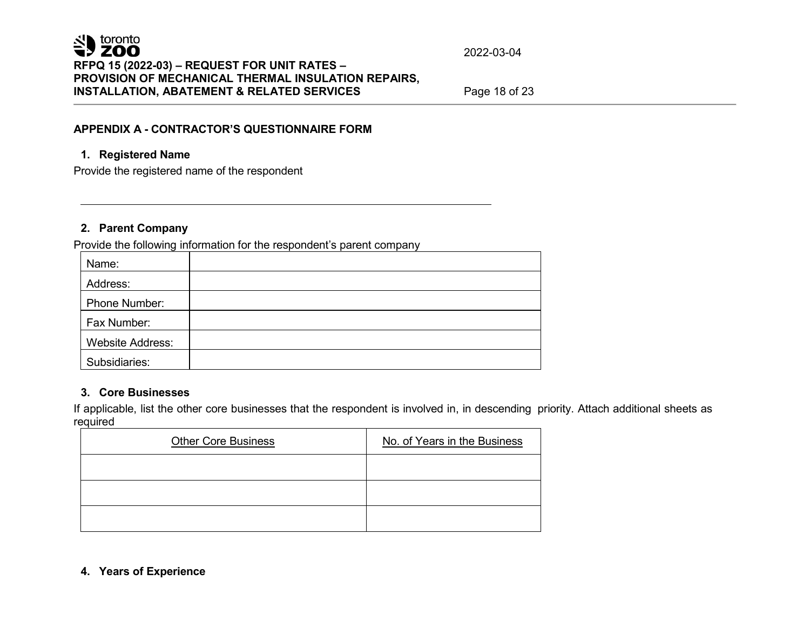## **APPENDIX A - CONTRACTOR'S QUESTIONNAIRE FORM**

## **1. Registered Name**

Provide the registered name of the respondent

## **2. Parent Company**

Provide the following information for the respondent's parent company

| Name:                   |  |
|-------------------------|--|
| Address:                |  |
| Phone Number:           |  |
| Fax Number:             |  |
| <b>Website Address:</b> |  |
| Subsidiaries:           |  |

## **3. Core Businesses**

If applicable, list the other core businesses that the respondent is involved in, in descending priority. Attach additional sheets as required

| <b>Other Core Business</b> | No. of Years in the Business |
|----------------------------|------------------------------|
|                            |                              |
|                            |                              |
|                            |                              |

## **4. Years of Experience**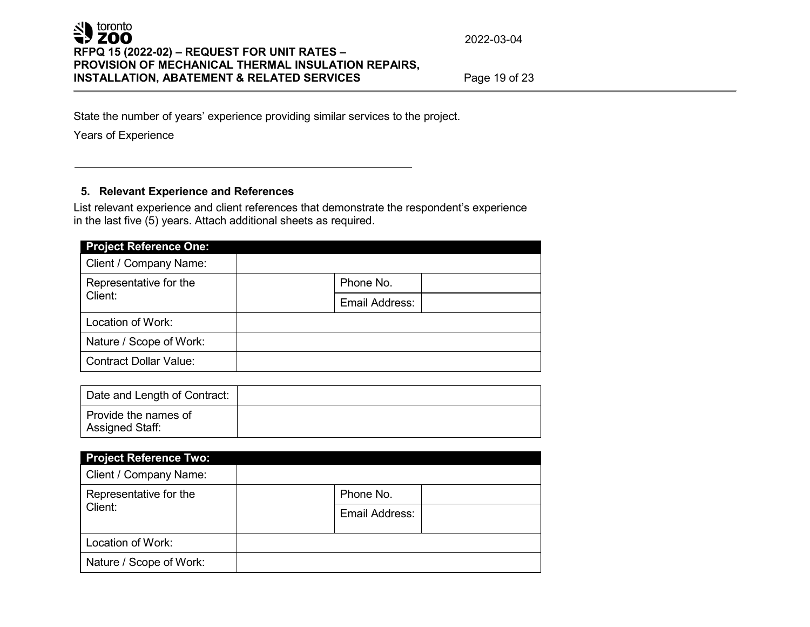State the number of years' experience providing similar services to the project.

Years of Experience

## **5. Relevant Experience and References**

List relevant experience and client references that demonstrate the respondent's experience in the last five (5) years. Attach additional sheets as required.

| <b>Project Reference One:</b>     |                |  |
|-----------------------------------|----------------|--|
| Client / Company Name:            |                |  |
| Representative for the<br>Client: | Phone No.      |  |
|                                   | Email Address: |  |
| Location of Work:                 |                |  |
| Nature / Scope of Work:           |                |  |
| <b>Contract Dollar Value:</b>     |                |  |

| Date and Length of Contract:            |  |
|-----------------------------------------|--|
| Provide the names of<br>Assigned Staff: |  |

| <b>Project Reference Two:</b>     |                |
|-----------------------------------|----------------|
| Client / Company Name:            |                |
| Representative for the<br>Client: | Phone No.      |
|                                   | Email Address: |
| Location of Work:                 |                |
| Nature / Scope of Work:           |                |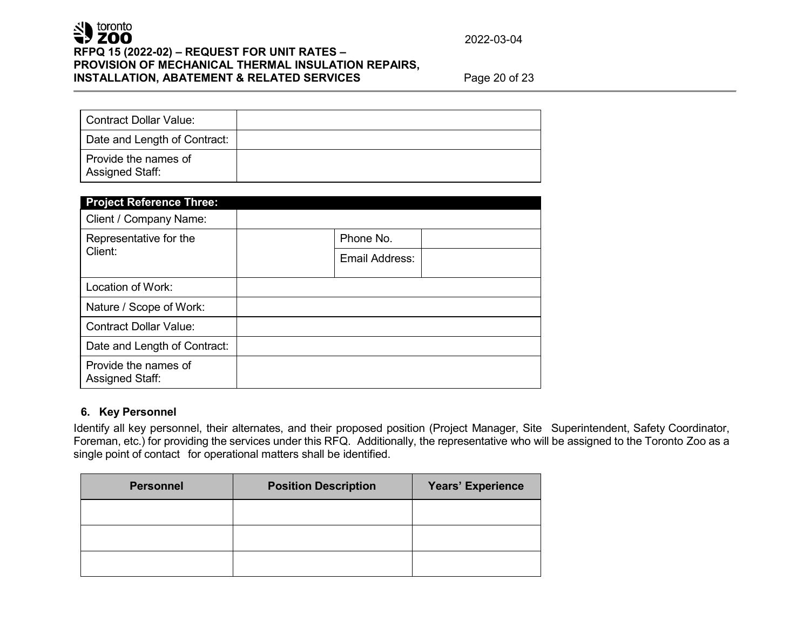# SU toronto **RFPQ 15 (2022-02) – REQUEST FOR UNIT RATES – PROVISION OF MECHANICAL THERMAL INSULATION REPAIRS, INSTALLATION, ABATEMENT & RELATED SERVICES** Page 20 of 23

2022-03-04

| Contract Dollar Value:                  |  |
|-----------------------------------------|--|
| Date and Length of Contract:            |  |
| Provide the names of<br>Assigned Staff: |  |

| <b>Project Reference Three:</b>                |           |                |
|------------------------------------------------|-----------|----------------|
| Client / Company Name:                         |           |                |
| Representative for the<br>Client:              | Phone No. |                |
|                                                |           | Email Address: |
| Location of Work:                              |           |                |
| Nature / Scope of Work:                        |           |                |
| <b>Contract Dollar Value:</b>                  |           |                |
| Date and Length of Contract:                   |           |                |
| Provide the names of<br><b>Assigned Staff:</b> |           |                |

## **6. Key Personnel**

Identify all key personnel, their alternates, and their proposed position (Project Manager, Site Superintendent, Safety Coordinator, Foreman, etc.) for providing the services under this RFQ. Additionally, the representative who will be assigned to the Toronto Zoo as a single point of contact for operational matters shall be identified.

| <b>Personnel</b> | <b>Position Description</b> | Years' Experience |
|------------------|-----------------------------|-------------------|
|                  |                             |                   |
|                  |                             |                   |
|                  |                             |                   |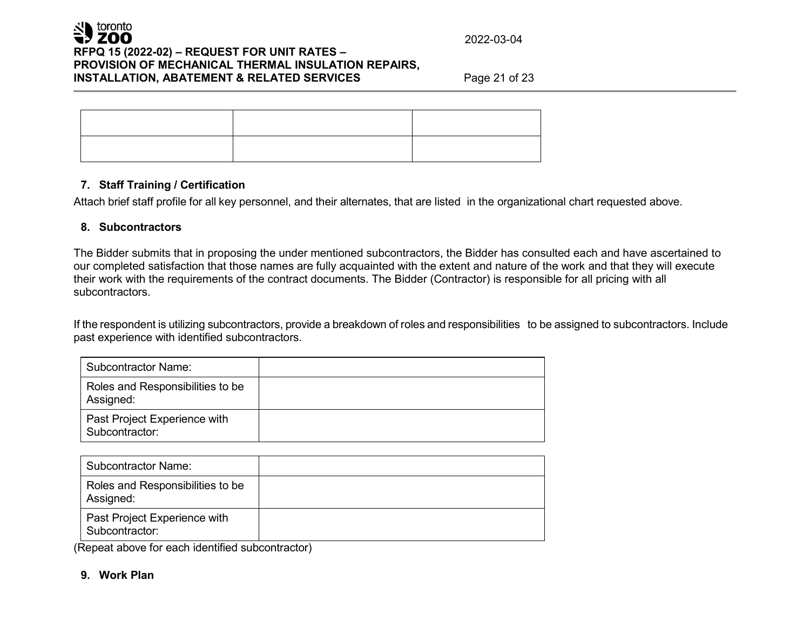## **7. Staff Training / Certification**

Attach brief staff profile for all key personnel, and their alternates, that are listed in the organizational chart requested above.

## **8. Subcontractors**

The Bidder submits that in proposing the under mentioned subcontractors, the Bidder has consulted each and have ascertained to our completed satisfaction that those names are fully acquainted with the extent and nature of the work and that they will execute their work with the requirements of the contract documents. The Bidder (Contractor) is responsible for all pricing with all subcontractors.

If the respondent is utilizing subcontractors, provide a breakdown of roles and responsibilities to be assigned to subcontractors. Include past experience with identified subcontractors.

| <b>Subcontractor Name:</b>                     |  |
|------------------------------------------------|--|
| Roles and Responsibilities to be<br>Assigned:  |  |
| Past Project Experience with<br>Subcontractor: |  |

| <b>Subcontractor Name:</b>                     |  |
|------------------------------------------------|--|
| Roles and Responsibilities to be<br>Assigned:  |  |
| Past Project Experience with<br>Subcontractor: |  |

(Repeat above for each identified subcontractor)

# **9. Work Plan**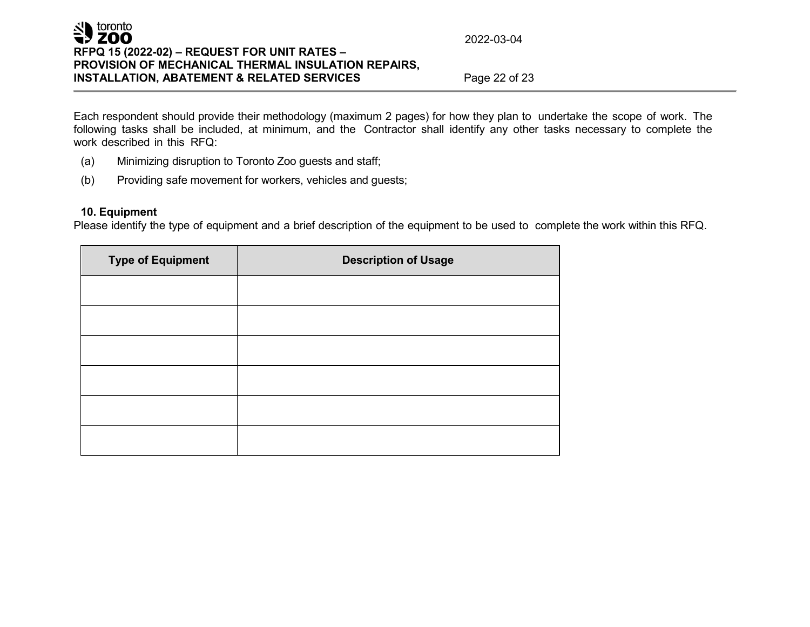Each respondent should provide their methodology (maximum 2 pages) for how they plan to undertake the scope of work. The following tasks shall be included, at minimum, and the Contractor shall identify any other tasks necessary to complete the work described in this RFQ:

- (a) Minimizing disruption to Toronto Zoo guests and staff;
- (b) Providing safe movement for workers, vehicles and guests;

## **10. Equipment**

Please identify the type of equipment and a brief description of the equipment to be used to complete the work within this RFQ.

| <b>Type of Equipment</b> | <b>Description of Usage</b> |
|--------------------------|-----------------------------|
|                          |                             |
|                          |                             |
|                          |                             |
|                          |                             |
|                          |                             |
|                          |                             |